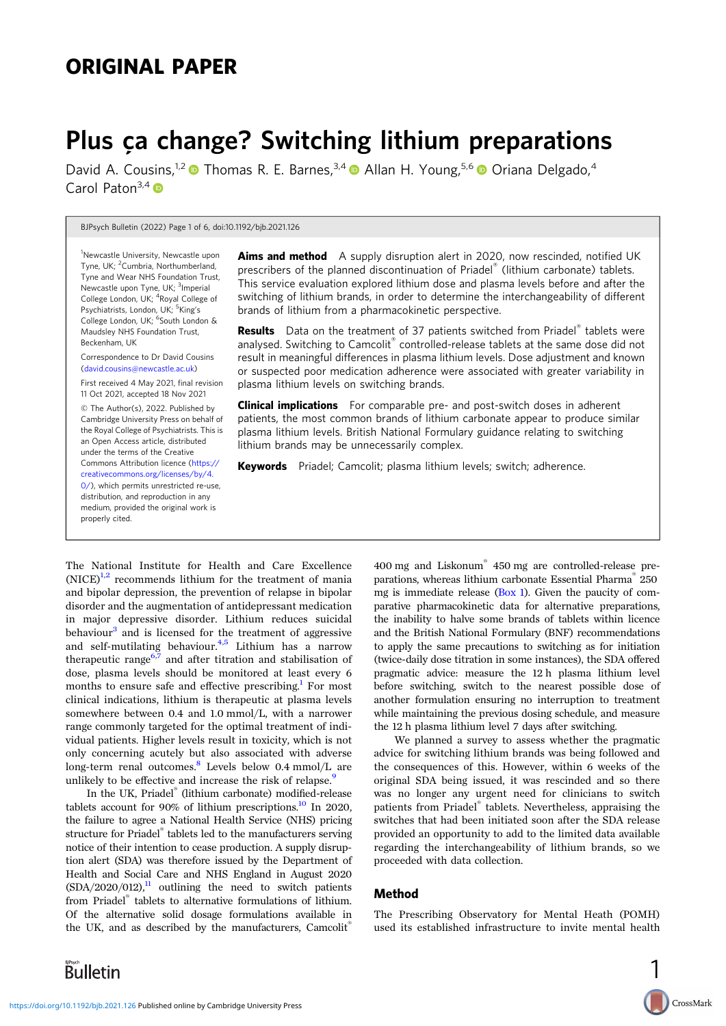# ORIGINAL PAPER

# Plus ça change? Switching lithium preparations

David A. Cousins.<sup>1,2</sup>  $\bullet$  Thomas R. E. Barnes.<sup>3,4</sup>  $\bullet$  Allan H. Young.<sup>5,6</sup>  $\bullet$  Oriana Delgado.<sup>4</sup> Carol Paton<sup>3,4</sup> $\bullet$ 

BJPsych Bulletin (2022) Page 1 of 6, doi:10.1192/bjb.2021.126

<sup>1</sup>Newcastle University, Newcastle upon Tyne, UK; <sup>2</sup>Cumbria, Northumberland, Tyne and Wear NHS Foundation Trust, Newcastle upon Tyne, UK; <sup>3</sup>Imperial College London, UK; <sup>4</sup>Royal College of Psychiatrists, London, UK; <sup>5</sup>King's College London, UK; <sup>6</sup>South London & Maudsley NHS Foundation Trust, Beckenham, UK

Correspondence to Dr David Cousins [\(david.cousins@newcastle.ac.uk](mailto:david.cousins@newcastle.ac.uk))

First received 4 May 2021, final revision 11 Oct 2021, accepted 18 Nov 2021

© The Author(s), 2022. Published by Cambridge University Press on behalf of the Royal College of Psychiatrists. This is an Open Access article, distributed under the terms of the Creative Commons Attribution licence [\(https://](https://creativecommons.org/licenses/by/4.0/) [creativecommons.org/licenses/by/4.](https://creativecommons.org/licenses/by/4.0/) [0/](https://creativecommons.org/licenses/by/4.0/)), which permits unrestricted re-use, distribution, and reproduction in any medium, provided the original work is properly cited.

Aims and method A supply disruption alert in 2020, now rescinded, notified UK prescribers of the planned discontinuation of Priadel® (lithium carbonate) tablets. This service evaluation explored lithium dose and plasma levels before and after the switching of lithium brands, in order to determine the interchangeability of different brands of lithium from a pharmacokinetic perspective.

**Results** Data on the treatment of 37 patients switched from Priadel<sup>®</sup> tablets were analysed. Switching to Camcolit® controlled-release tablets at the same dose did not result in meaningful differences in plasma lithium levels. Dose adjustment and known or suspected poor medication adherence were associated with greater variability in plasma lithium levels on switching brands.

**Clinical implications** For comparable pre- and post-switch doses in adherent patients, the most common brands of lithium carbonate appear to produce similar plasma lithium levels. British National Formulary guidance relating to switching lithium brands may be unnecessarily complex.

Keywords Priadel; Camcolit; plasma lithium levels; switch; adherence.

The National Institute for Health and Care Excellence  $(NICE)^{1,2}$  $(NICE)^{1,2}$  $(NICE)^{1,2}$  recommends lithium for the treatment of mania and bipolar depression, the prevention of relapse in bipolar disorder and the augmentation of antidepressant medication in major depressive disorder. Lithium reduces suicidal behaviour<sup>[3](#page-5-0)</sup> and is licensed for the treatment of aggressive and self-mutilating behaviour. $4,5$  $4,5$  $4,5$  Lithium has a narrow therapeutic range<sup>[6](#page-5-0),[7](#page-5-0)</sup> and after titration and stabilisation of dose, plasma levels should be monitored at least every 6 months to ensure safe and effective prescribing.<sup>[1](#page-5-0)</sup> For most clinical indications, lithium is therapeutic at plasma levels somewhere between 0.4 and 1.0 mmol/L, with a narrower range commonly targeted for the optimal treatment of individual patients. Higher levels result in toxicity, which is not only concerning acutely but also associated with adverse long-term renal outcomes.<sup>8</sup> Levels below 0.4 mmol/L are unlikely to be effective and increase the risk of relapse.<sup>[9](#page-5-0)</sup>

In the UK, Priadel® (lithium carbonate) modified-release tablets account for 90% of lithium prescriptions.<sup>[10](#page-5-0)</sup> In 2020, the failure to agree a National Health Service (NHS) pricing structure for Priadel® tablets led to the manufacturers serving notice of their intention to cease production. A supply disruption alert (SDA) was therefore issued by the Department of Health and Social Care and NHS England in August 2020  $(SDA/2020/012)$ ,<sup>[11](#page-5-0)</sup> outlining the need to switch patients from Priadel® tablets to alternative formulations of lithium. Of the alternative solid dosage formulations available in the UK, and as described by the manufacturers, Camcolit<sup>®</sup>

Bulletin

<https://doi.org/10.1192/bjb.2021.126>Published online by Cambridge University Press

400 mg and Liskonum® 450 mg are controlled-release preparations, whereas lithium carbonate Essential Pharma® 250 mg is immediate release [\(Box 1](#page-1-0)). Given the paucity of comparative pharmacokinetic data for alternative preparations, the inability to halve some brands of tablets within licence and the British National Formulary (BNF) recommendations to apply the same precautions to switching as for initiation (twice-daily dose titration in some instances), the SDA offered pragmatic advice: measure the 12 h plasma lithium level before switching, switch to the nearest possible dose of another formulation ensuring no interruption to treatment while maintaining the previous dosing schedule, and measure the 12 h plasma lithium level 7 days after switching.

We planned a survey to assess whether the pragmatic advice for switching lithium brands was being followed and the consequences of this. However, within 6 weeks of the original SDA being issued, it was rescinded and so there was no longer any urgent need for clinicians to switch patients from Priadel® tablets. Nevertheless, appraising the switches that had been initiated soon after the SDA release provided an opportunity to add to the limited data available regarding the interchangeability of lithium brands, so we proceeded with data collection.

# Method

The Prescribing Observatory for Mental Heath (POMH) used its established infrastructure to invite mental health

1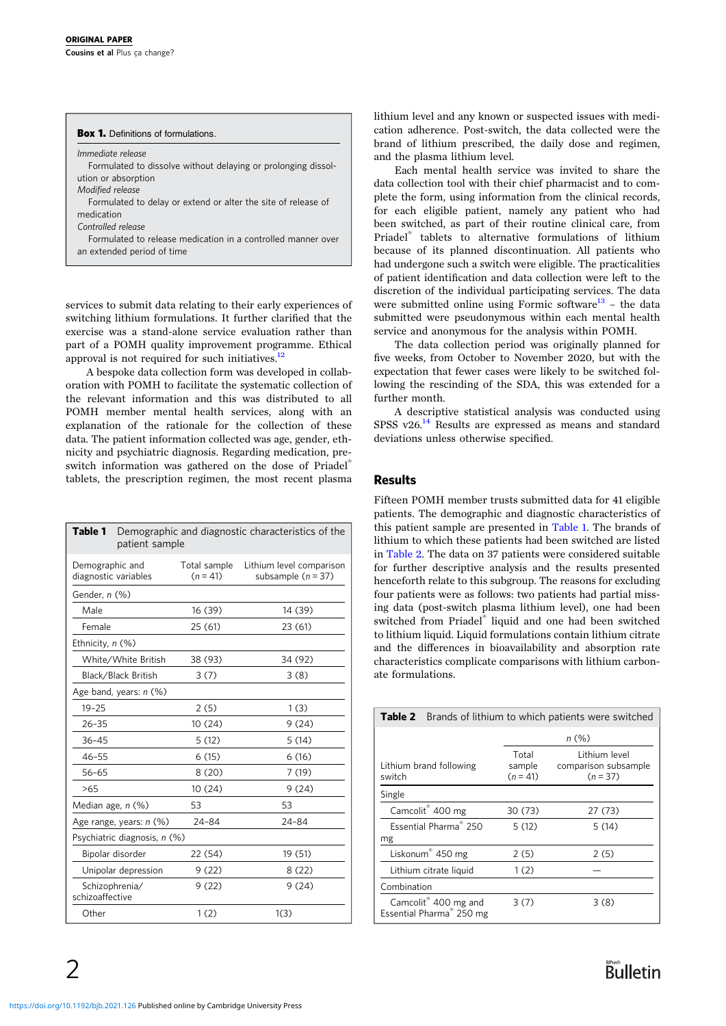<span id="page-1-0"></span>

| <b>Box 1.</b> Definitions of formulations.                    |  |  |  |  |  |
|---------------------------------------------------------------|--|--|--|--|--|
| Immediate release                                             |  |  |  |  |  |
| Formulated to dissolve without delaying or prolonging dissol- |  |  |  |  |  |
| ution or absorption                                           |  |  |  |  |  |
| Modified release                                              |  |  |  |  |  |
| Formulated to delay or extend or alter the site of release of |  |  |  |  |  |
| medication                                                    |  |  |  |  |  |
| Controlled release                                            |  |  |  |  |  |
| Formulated to release medication in a controlled manner over  |  |  |  |  |  |
| an extended period of time                                    |  |  |  |  |  |

services to submit data relating to their early experiences of switching lithium formulations. It further clarified that the exercise was a stand-alone service evaluation rather than part of a POMH quality improvement programme. Ethical approval is not required for such initiatives. $^{12}$ 

A bespoke data collection form was developed in collaboration with POMH to facilitate the systematic collection of the relevant information and this was distributed to all POMH member mental health services, along with an explanation of the rationale for the collection of these data. The patient information collected was age, gender, ethnicity and psychiatric diagnosis. Regarding medication, preswitch information was gathered on the dose of Priadel® tablets, the prescription regimen, the most recent plasma

| Table 1                                 | Demographic and diagnostic characteristics of the<br>patient sample |                            |                                                  |  |  |  |
|-----------------------------------------|---------------------------------------------------------------------|----------------------------|--------------------------------------------------|--|--|--|
| Demographic and<br>diagnostic variables |                                                                     | Total sample<br>$(n = 41)$ | Lithium level comparison<br>subsample $(n = 37)$ |  |  |  |
| Gender, n (%)                           |                                                                     |                            |                                                  |  |  |  |
| Male                                    |                                                                     | 16 (39)                    | 14 (39)                                          |  |  |  |
| Female                                  |                                                                     | 25(61)                     | 23 (61)                                          |  |  |  |
| Ethnicity, n (%)                        |                                                                     |                            |                                                  |  |  |  |
|                                         | White/White British                                                 | 38 (93)                    | 34 (92)                                          |  |  |  |
|                                         | Black/Black British                                                 | 3(7)                       | 3(8)                                             |  |  |  |
| Age band, years: n (%)                  |                                                                     |                            |                                                  |  |  |  |
| $19 - 25$                               |                                                                     | 2(5)                       | 1(3)                                             |  |  |  |
| $26 - 35$                               |                                                                     | 10 (24)                    | 9(24)                                            |  |  |  |
| $36 - 45$                               |                                                                     | 5(12)                      | 5(14)                                            |  |  |  |
| $46 - 55$                               |                                                                     | 6(15)                      | 6(16)                                            |  |  |  |
| $56 - 65$                               |                                                                     | 8(20)                      | 7(19)                                            |  |  |  |
| >65                                     |                                                                     | 10(24)                     | 9(24)                                            |  |  |  |
| Median age, n (%)                       |                                                                     | 53                         | 53                                               |  |  |  |
|                                         | Age range, years: n (%)                                             | 24-84                      | 24-84                                            |  |  |  |
| Psychiatric diagnosis, n (%)            |                                                                     |                            |                                                  |  |  |  |
|                                         | Bipolar disorder                                                    | 22 (54)                    | 19 (51)                                          |  |  |  |
|                                         | Unipolar depression                                                 | 9(22)                      | 8(22)                                            |  |  |  |
| schizoaffective                         | Schizophrenia/                                                      | 9(22)                      | 9(24)                                            |  |  |  |
| Other                                   |                                                                     | 1(2)                       | 1(3)                                             |  |  |  |

lithium level and any known or suspected issues with medication adherence. Post-switch, the data collected were the brand of lithium prescribed, the daily dose and regimen, and the plasma lithium level.

Each mental health service was invited to share the data collection tool with their chief pharmacist and to complete the form, using information from the clinical records, for each eligible patient, namely any patient who had been switched, as part of their routine clinical care, from Priadel® tablets to alternative formulations of lithium because of its planned discontinuation. All patients who had undergone such a switch were eligible. The practicalities of patient identification and data collection were left to the discretion of the individual participating services. The data were submitted online using Formic software $13$  – the data submitted were pseudonymous within each mental health service and anonymous for the analysis within POMH.

The data collection period was originally planned for five weeks, from October to November 2020, but with the expectation that fewer cases were likely to be switched following the rescinding of the SDA, this was extended for a further month.

A descriptive statistical analysis was conducted using SPSS v26.<sup>[14](#page-5-0)</sup> Results are expressed as means and standard deviations unless otherwise specified.

# Results

Fifteen POMH member trusts submitted data for 41 eligible patients. The demographic and diagnostic characteristics of this patient sample are presented in Table 1. The brands of lithium to which these patients had been switched are listed in Table 2. The data on 37 patients were considered suitable for further descriptive analysis and the results presented henceforth relate to this subgroup. The reasons for excluding four patients were as follows: two patients had partial missing data (post-switch plasma lithium level), one had been switched from Priadel® liquid and one had been switched to lithium liquid. Liquid formulations contain lithium citrate and the differences in bioavailability and absorption rate characteristics complicate comparisons with lithium carbonate formulations.

| <b>Table 2</b> Brands of lithium to which patients were switched |                               |                                                     |  |  |  |
|------------------------------------------------------------------|-------------------------------|-----------------------------------------------------|--|--|--|
|                                                                  | n (%)                         |                                                     |  |  |  |
| Lithium brand following<br>switch                                | Total<br>sample<br>$(n = 41)$ | Lithium level<br>comparison subsample<br>$(n = 37)$ |  |  |  |
| Single                                                           |                               |                                                     |  |  |  |
| Camcolit <sup>®</sup> 400 mg                                     | 30 (73)                       | 27 (73)                                             |  |  |  |
| Essential Pharma <sup>®</sup> 250                                | 5(12)                         | 5(14)                                               |  |  |  |
| mg                                                               |                               |                                                     |  |  |  |
| Liskonum <sup>®</sup> 450 mg                                     | 2(5)                          | 2(5)                                                |  |  |  |
| Lithium citrate liquid                                           | 1(2)                          |                                                     |  |  |  |
| Combination                                                      |                               |                                                     |  |  |  |
| Camcolit® 400 mg and<br>Essential Pharma <sup>®</sup> 250 mg     | 3(7)                          | 3(8)                                                |  |  |  |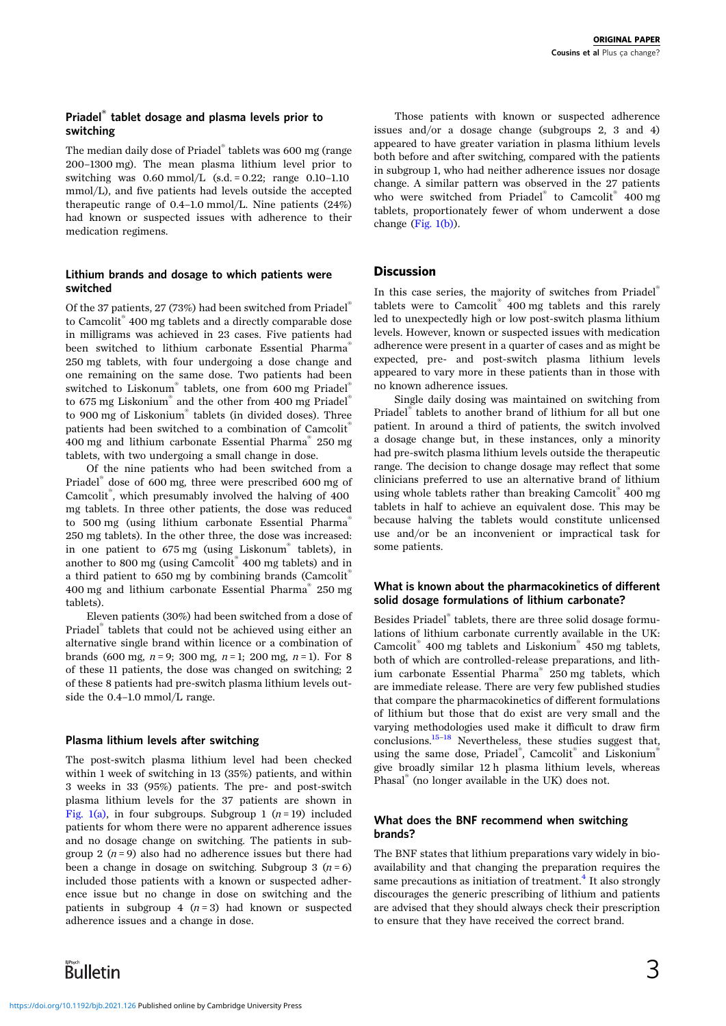# Priadel® tablet dosage and plasma levels prior to switching

The median daily dose of Priadel® tablets was 600 mg (range 200–1300 mg). The mean plasma lithium level prior to switching was  $0.60 \text{ mmol/L}$  (s.d. = 0.22; range 0.10–1.10) mmol/L), and five patients had levels outside the accepted therapeutic range of 0.4–1.0 mmol/L. Nine patients (24%) had known or suspected issues with adherence to their medication regimens.

# Lithium brands and dosage to which patients were switched

Of the 37 patients, 27 (73%) had been switched from Priadel® to Camcolit® 400 mg tablets and a directly comparable dose in milligrams was achieved in 23 cases. Five patients had been switched to lithium carbonate Essential Pharma® 250 mg tablets, with four undergoing a dose change and one remaining on the same dose. Two patients had been switched to Liskonum® tablets, one from 600 mg Priadel® to 675 mg Liskonium<sup>®</sup> and the other from 400 mg Priadel<sup>®</sup> to 900 mg of Liskonium® tablets (in divided doses). Three patients had been switched to a combination of Camcolit® 400 mg and lithium carbonate Essential Pharma® 250 mg tablets, with two undergoing a small change in dose.

Of the nine patients who had been switched from a Priadel® dose of 600 mg, three were prescribed 600 mg of Camcolit® , which presumably involved the halving of 400 mg tablets. In three other patients, the dose was reduced to 500 mg (using lithium carbonate Essential Pharma® 250 mg tablets). In the other three, the dose was increased: in one patient to 675 mg (using Liskonum® tablets), in another to 800 mg (using Camcolit® 400 mg tablets) and in a third patient to 650 mg by combining brands (Camcolit<sup>®</sup> 400 mg and lithium carbonate Essential Pharma® 250 mg tablets).

Eleven patients (30%) had been switched from a dose of Priadel® tablets that could not be achieved using either an alternative single brand within licence or a combination of brands (600 mg,  $n = 9$ ; 300 mg,  $n = 1$ ; 200 mg,  $n = 1$ ). For 8 of these 11 patients, the dose was changed on switching; 2 of these 8 patients had pre-switch plasma lithium levels outside the 0.4–1.0 mmol/L range.

# Plasma lithium levels after switching

The post-switch plasma lithium level had been checked within 1 week of switching in 13 (35%) patients, and within 3 weeks in 33 (95%) patients. The pre- and post-switch plasma lithium levels for the 37 patients are shown in [Fig. 1\(a\)](#page-3-0), in four subgroups. Subgroup 1 ( $n = 19$ ) included patients for whom there were no apparent adherence issues and no dosage change on switching. The patients in subgroup 2 ( $n = 9$ ) also had no adherence issues but there had been a change in dosage on switching. Subgroup 3  $(n = 6)$ included those patients with a known or suspected adherence issue but no change in dose on switching and the patients in subgroup 4  $(n=3)$  had known or suspected adherence issues and a change in dose.

Those patients with known or suspected adherence issues and/or a dosage change (subgroups 2, 3 and 4) appeared to have greater variation in plasma lithium levels both before and after switching, compared with the patients in subgroup 1, who had neither adherence issues nor dosage change. A similar pattern was observed in the 27 patients who were switched from Priadel<sup>®</sup> to Camcolit<sup>®</sup> 400 mg tablets, proportionately fewer of whom underwent a dose change ([Fig. 1\(b\)](#page-3-0)).

# **Discussion**

In this case series, the majority of switches from Priadel® tablets were to Camcolit® 400 mg tablets and this rarely led to unexpectedly high or low post-switch plasma lithium levels. However, known or suspected issues with medication adherence were present in a quarter of cases and as might be expected, pre- and post-switch plasma lithium levels appeared to vary more in these patients than in those with no known adherence issues.

Single daily dosing was maintained on switching from Priadel® tablets to another brand of lithium for all but one patient. In around a third of patients, the switch involved a dosage change but, in these instances, only a minority had pre-switch plasma lithium levels outside the therapeutic range. The decision to change dosage may reflect that some clinicians preferred to use an alternative brand of lithium using whole tablets rather than breaking Camcolit® 400 mg tablets in half to achieve an equivalent dose. This may be because halving the tablets would constitute unlicensed use and/or be an inconvenient or impractical task for some patients.

# What is known about the pharmacokinetics of different solid dosage formulations of lithium carbonate?

Besides Priadel® tablets, there are three solid dosage formulations of lithium carbonate currently available in the UK: Camcolit® 400 mg tablets and Liskonium® 450 mg tablets, both of which are controlled-release preparations, and lithium carbonate Essential Pharma® 250 mg tablets, which are immediate release. There are very few published studies that compare the pharmacokinetics of different formulations of lithium but those that do exist are very small and the varying methodologies used make it difficult to draw firm conclusions[.15](#page-5-0)–[18](#page-5-0) Nevertheless, these studies suggest that, using the same dose, Priadel®, Camcolit® and Liskonium® give broadly similar 12 h plasma lithium levels, whereas Phasal® (no longer available in the UK) does not.

# What does the BNF recommend when switching brands?

The BNF states that lithium preparations vary widely in bioavailability and that changing the preparation requires the same precautions as initiation of treatment. $4$  It also strongly discourages the generic prescribing of lithium and patients are advised that they should always check their prescription to ensure that they have received the correct brand.

Bulletin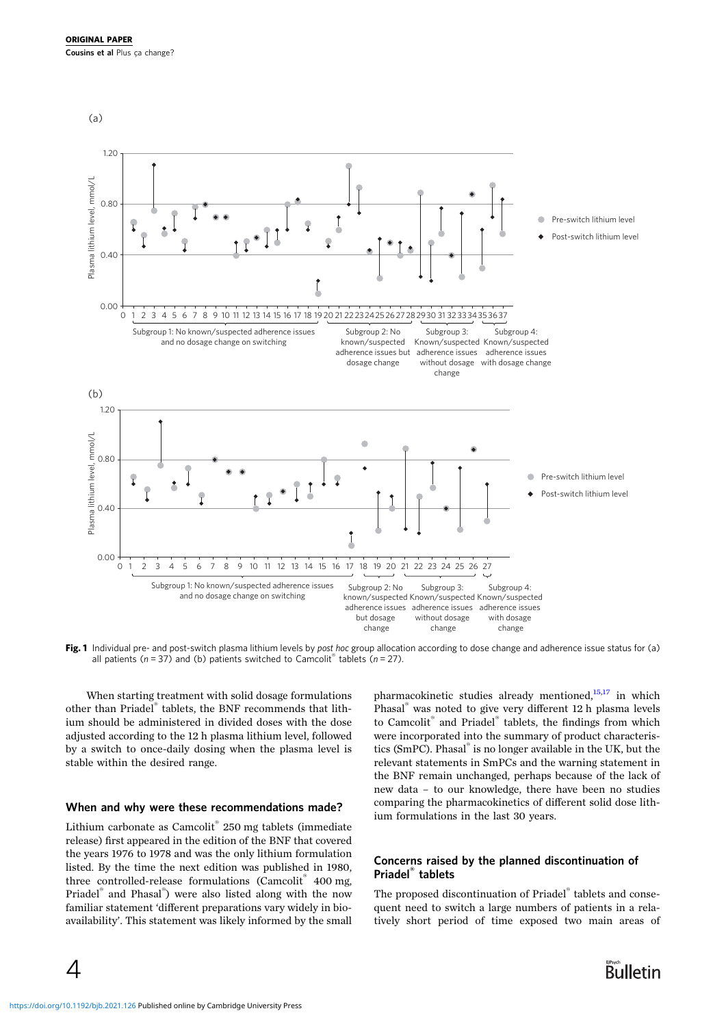<span id="page-3-0"></span>

Fig. 1 Individual pre- and post-switch plasma lithium levels by post hoc group allocation according to dose change and adherence issue status for (a) all patients ( $n = 37$ ) and (b) patients switched to Camcolit® tablets ( $n = 27$ ).

When starting treatment with solid dosage formulations other than Priadel® tablets, the BNF recommends that lithium should be administered in divided doses with the dose adjusted according to the 12 h plasma lithium level, followed by a switch to once-daily dosing when the plasma level is stable within the desired range.

#### When and why were these recommendations made?

Lithium carbonate as Camcolit<sup>®</sup> 250 mg tablets (immediate release) first appeared in the edition of the BNF that covered the years 1976 to 1978 and was the only lithium formulation listed. By the time the next edition was published in 1980, three controlled-release formulations (Camcolit<sup>®</sup> 400 mg, Priadel® and Phasal® ) were also listed along with the now familiar statement 'different preparations vary widely in bioavailability'. This statement was likely informed by the small

pharmacokinetic studies already mentioned, $15,17$  in which Phasal® was noted to give very different 12 h plasma levels to Camcolit® and Priadel® tablets, the findings from which were incorporated into the summary of product characteristics (SmPC). Phasal® is no longer available in the UK, but the relevant statements in SmPCs and the warning statement in the BNF remain unchanged, perhaps because of the lack of new data – to our knowledge, there have been no studies comparing the pharmacokinetics of different solid dose lithium formulations in the last 30 years.

# Concerns raised by the planned discontinuation of Priadel® tablets

The proposed discontinuation of Priadel® tablets and consequent need to switch a large numbers of patients in a relatively short period of time exposed two main areas of

4

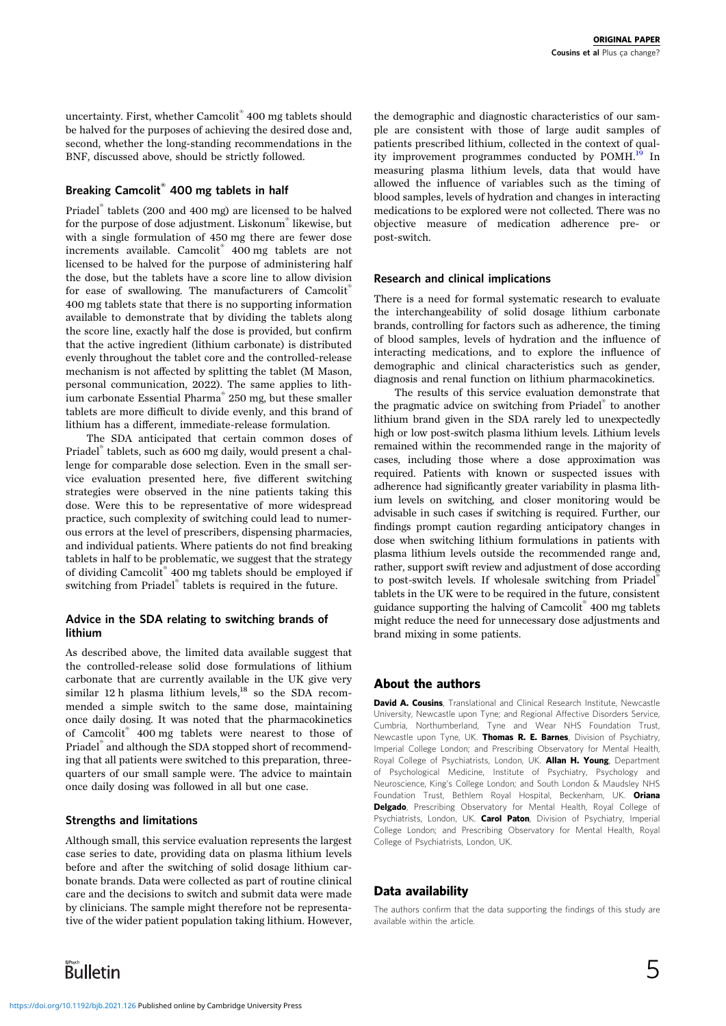uncertainty. First, whether Camcolit® 400 mg tablets should be halved for the purposes of achieving the desired dose and, second, whether the long-standing recommendations in the BNF, discussed above, should be strictly followed.

# Breaking Camcolit® 400 mg tablets in half

Priadel® tablets (200 and 400 mg) are licensed to be halved for the purpose of dose adjustment. Liskonum® likewise, but with a single formulation of 450 mg there are fewer dose increments available. Camcolit® 400 mg tablets are not licensed to be halved for the purpose of administering half the dose, but the tablets have a score line to allow division for ease of swallowing. The manufacturers of Camcolit<sup>®</sup> 400 mg tablets state that there is no supporting information available to demonstrate that by dividing the tablets along the score line, exactly half the dose is provided, but confirm that the active ingredient (lithium carbonate) is distributed evenly throughout the tablet core and the controlled-release mechanism is not affected by splitting the tablet (M Mason, personal communication, 2022). The same applies to lithium carbonate Essential Pharma® 250 mg, but these smaller tablets are more difficult to divide evenly, and this brand of lithium has a different, immediate-release formulation.

The SDA anticipated that certain common doses of Priadel® tablets, such as 600 mg daily, would present a challenge for comparable dose selection. Even in the small service evaluation presented here, five different switching strategies were observed in the nine patients taking this dose. Were this to be representative of more widespread practice, such complexity of switching could lead to numerous errors at the level of prescribers, dispensing pharmacies, and individual patients. Where patients do not find breaking tablets in half to be problematic, we suggest that the strategy of dividing Camcolit® 400 mg tablets should be employed if switching from Priadel® tablets is required in the future.

# Advice in the SDA relating to switching brands of lithium

As described above, the limited data available suggest that the controlled-release solid dose formulations of lithium carbonate that are currently available in the UK give very similar 12 h plasma lithium levels, $^{18}$  so the SDA recommended a simple switch to the same dose, maintaining once daily dosing. It was noted that the pharmacokinetics of Camcolit® 400 mg tablets were nearest to those of Priadel® and although the SDA stopped short of recommending that all patients were switched to this preparation, threequarters of our small sample were. The advice to maintain once daily dosing was followed in all but one case.

# Strengths and limitations

Although small, this service evaluation represents the largest case series to date, providing data on plasma lithium levels before and after the switching of solid dosage lithium carbonate brands. Data were collected as part of routine clinical care and the decisions to switch and submit data were made by clinicians. The sample might therefore not be representative of the wider patient population taking lithium. However,



the demographic and diagnostic characteristics of our sample are consistent with those of large audit samples of patients prescribed lithium, collected in the context of qual-ity improvement programmes conducted by POMH.<sup>[19](#page-5-0)</sup> In measuring plasma lithium levels, data that would have allowed the influence of variables such as the timing of blood samples, levels of hydration and changes in interacting medications to be explored were not collected. There was no objective measure of medication adherence pre- or post-switch.

#### Research and clinical implications

There is a need for formal systematic research to evaluate the interchangeability of solid dosage lithium carbonate brands, controlling for factors such as adherence, the timing of blood samples, levels of hydration and the influence of interacting medications, and to explore the influence of demographic and clinical characteristics such as gender, diagnosis and renal function on lithium pharmacokinetics.

The results of this service evaluation demonstrate that the pragmatic advice on switching from Priadel® to another lithium brand given in the SDA rarely led to unexpectedly high or low post-switch plasma lithium levels. Lithium levels remained within the recommended range in the majority of cases, including those where a dose approximation was required. Patients with known or suspected issues with adherence had significantly greater variability in plasma lithium levels on switching, and closer monitoring would be advisable in such cases if switching is required. Further, our findings prompt caution regarding anticipatory changes in dose when switching lithium formulations in patients with plasma lithium levels outside the recommended range and, rather, support swift review and adjustment of dose according to post-switch levels. If wholesale switching from Priadel® tablets in the UK were to be required in the future, consistent guidance supporting the halving of Camcolit® 400 mg tablets might reduce the need for unnecessary dose adjustments and brand mixing in some patients.

# About the authors

David A. Cousins, Translational and Clinical Research Institute, Newcastle University, Newcastle upon Tyne; and Regional Affective Disorders Service, Cumbria, Northumberland, Tyne and Wear NHS Foundation Trust, Newcastle upon Tyne, UK. Thomas R. E. Barnes, Division of Psychiatry, Imperial College London; and Prescribing Observatory for Mental Health, Royal College of Psychiatrists, London, UK. **Allan H. Young**, Department of Psychological Medicine, Institute of Psychiatry, Psychology and Neuroscience, King's College London; and South London & Maudsley NHS Foundation Trust, Bethlem Royal Hospital, Beckenham, UK. Oriana Delgado, Prescribing Observatory for Mental Health, Royal College of Psychiatrists, London, UK. Carol Paton, Division of Psychiatry, Imperial College London; and Prescribing Observatory for Mental Health, Royal College of Psychiatrists, London, UK.

# Data availability

The authors confirm that the data supporting the findings of this study are available within the article.